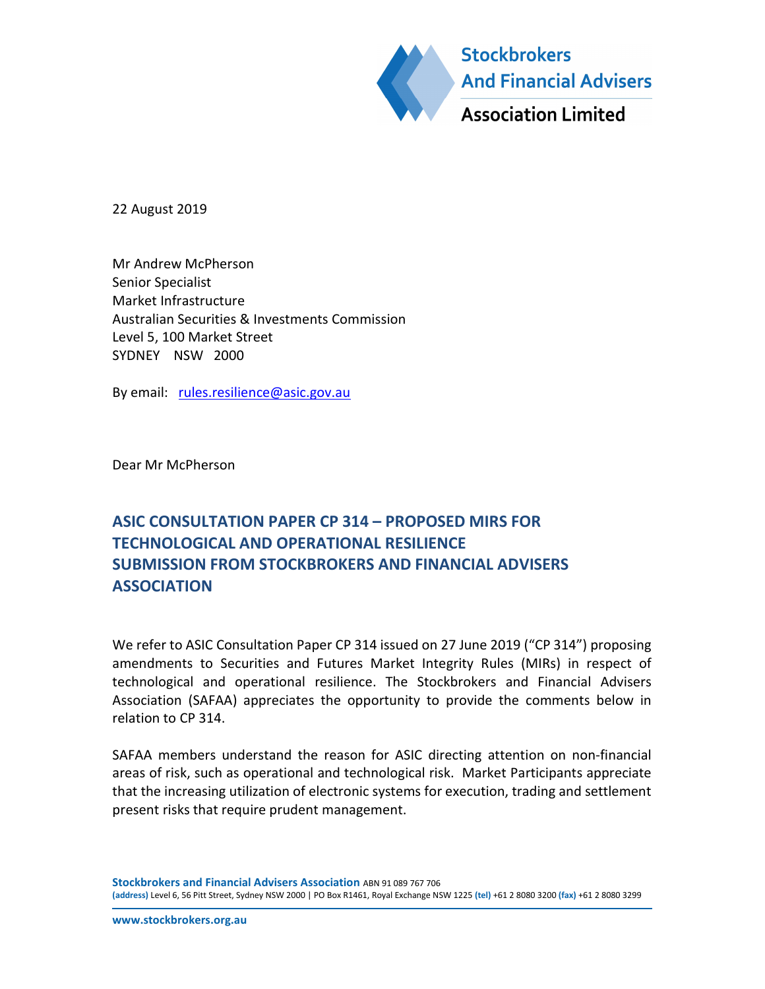

22 August 2019

Mr Andrew McPherson Senior Specialist Market Infrastructure Australian Securities & Investments Commission Level 5, 100 Market Street SYDNEY NSW 2000

By email: rules.resilience@asic.gov.au

Dear Mr McPherson

# ASIC CONSULTATION PAPER CP 314 – PROPOSED MIRS FOR TECHNOLOGICAL AND OPERATIONAL RESILIENCE SUBMISSION FROM STOCKBROKERS AND FINANCIAL ADVISERS **ASSOCIATION**

We refer to ASIC Consultation Paper CP 314 issued on 27 June 2019 ("CP 314") proposing amendments to Securities and Futures Market Integrity Rules (MIRs) in respect of technological and operational resilience. The Stockbrokers and Financial Advisers Association (SAFAA) appreciates the opportunity to provide the comments below in relation to CP 314.

SAFAA members understand the reason for ASIC directing attention on non-financial areas of risk, such as operational and technological risk. Market Participants appreciate that the increasing utilization of electronic systems for execution, trading and settlement present risks that require prudent management.

Stockbrokers and Financial Advisers Association ABN 91 089 767 706 (address) Level 6, 56 Pitt Street, Sydney NSW 2000 | PO Box R1461, Royal Exchange NSW 1225 (tel) +61 2 8080 3200 (fax) +61 2 8080 3299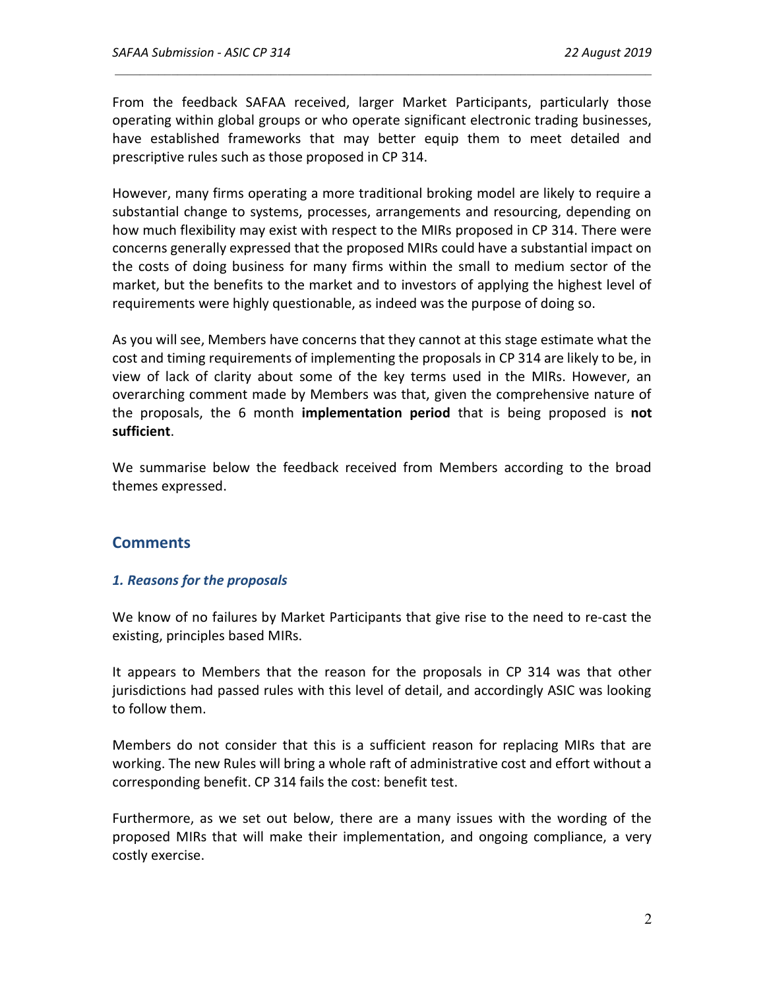From the feedback SAFAA received, larger Market Participants, particularly those operating within global groups or who operate significant electronic trading businesses, have established frameworks that may better equip them to meet detailed and prescriptive rules such as those proposed in CP 314.

However, many firms operating a more traditional broking model are likely to require a substantial change to systems, processes, arrangements and resourcing, depending on how much flexibility may exist with respect to the MIRs proposed in CP 314. There were concerns generally expressed that the proposed MIRs could have a substantial impact on the costs of doing business for many firms within the small to medium sector of the market, but the benefits to the market and to investors of applying the highest level of requirements were highly questionable, as indeed was the purpose of doing so.

As you will see, Members have concerns that they cannot at this stage estimate what the cost and timing requirements of implementing the proposals in CP 314 are likely to be, in view of lack of clarity about some of the key terms used in the MIRs. However, an overarching comment made by Members was that, given the comprehensive nature of the proposals, the 6 month **implementation period** that is being proposed is not sufficient.

We summarise below the feedback received from Members according to the broad themes expressed.

## **Comments**

#### 1. Reasons for the proposals

We know of no failures by Market Participants that give rise to the need to re-cast the existing, principles based MIRs.

It appears to Members that the reason for the proposals in CP 314 was that other jurisdictions had passed rules with this level of detail, and accordingly ASIC was looking to follow them.

Members do not consider that this is a sufficient reason for replacing MIRs that are working. The new Rules will bring a whole raft of administrative cost and effort without a corresponding benefit. CP 314 fails the cost: benefit test.

Furthermore, as we set out below, there are a many issues with the wording of the proposed MIRs that will make their implementation, and ongoing compliance, a very costly exercise.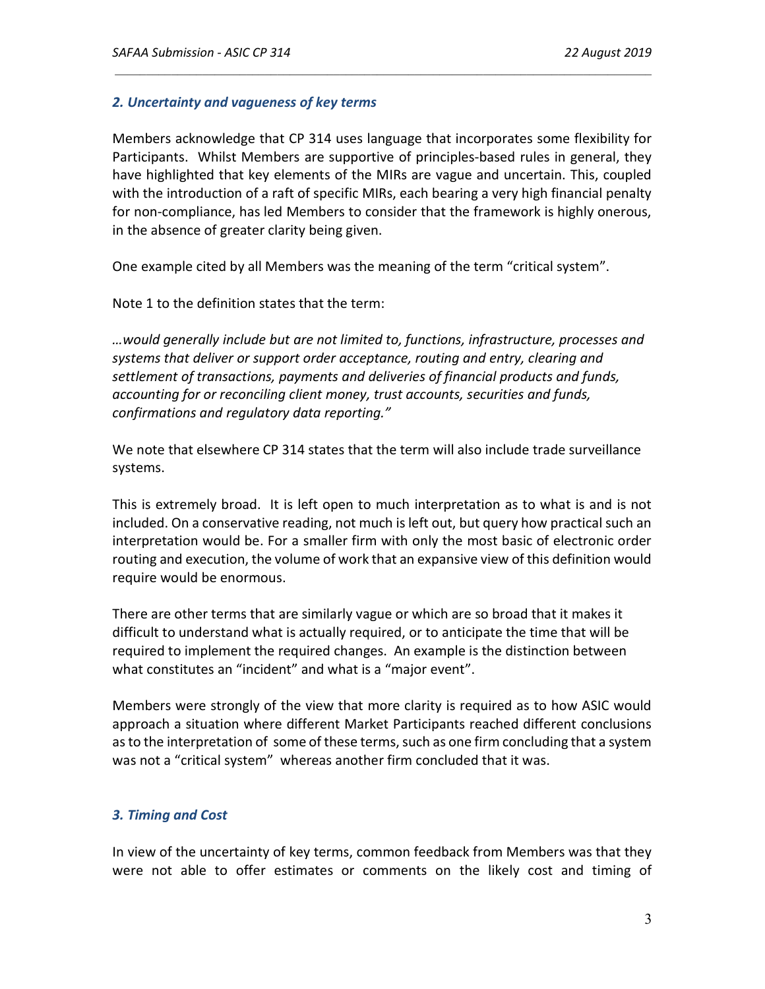## 2. Uncertainty and vagueness of key terms

Members acknowledge that CP 314 uses language that incorporates some flexibility for Participants. Whilst Members are supportive of principles-based rules in general, they have highlighted that key elements of the MIRs are vague and uncertain. This, coupled with the introduction of a raft of specific MIRs, each bearing a very high financial penalty for non-compliance, has led Members to consider that the framework is highly onerous, in the absence of greater clarity being given.

One example cited by all Members was the meaning of the term "critical system".

Note 1 to the definition states that the term:

…would generally include but are not limited to, functions, infrastructure, processes and systems that deliver or support order acceptance, routing and entry, clearing and settlement of transactions, payments and deliveries of financial products and funds, accounting for or reconciling client money, trust accounts, securities and funds, confirmations and regulatory data reporting."

We note that elsewhere CP 314 states that the term will also include trade surveillance systems.

This is extremely broad. It is left open to much interpretation as to what is and is not included. On a conservative reading, not much is left out, but query how practical such an interpretation would be. For a smaller firm with only the most basic of electronic order routing and execution, the volume of work that an expansive view of this definition would require would be enormous.

There are other terms that are similarly vague or which are so broad that it makes it difficult to understand what is actually required, or to anticipate the time that will be required to implement the required changes. An example is the distinction between what constitutes an "incident" and what is a "major event".

Members were strongly of the view that more clarity is required as to how ASIC would approach a situation where different Market Participants reached different conclusions as to the interpretation of some of these terms, such as one firm concluding that a system was not a "critical system" whereas another firm concluded that it was.

## 3. Timing and Cost

In view of the uncertainty of key terms, common feedback from Members was that they were not able to offer estimates or comments on the likely cost and timing of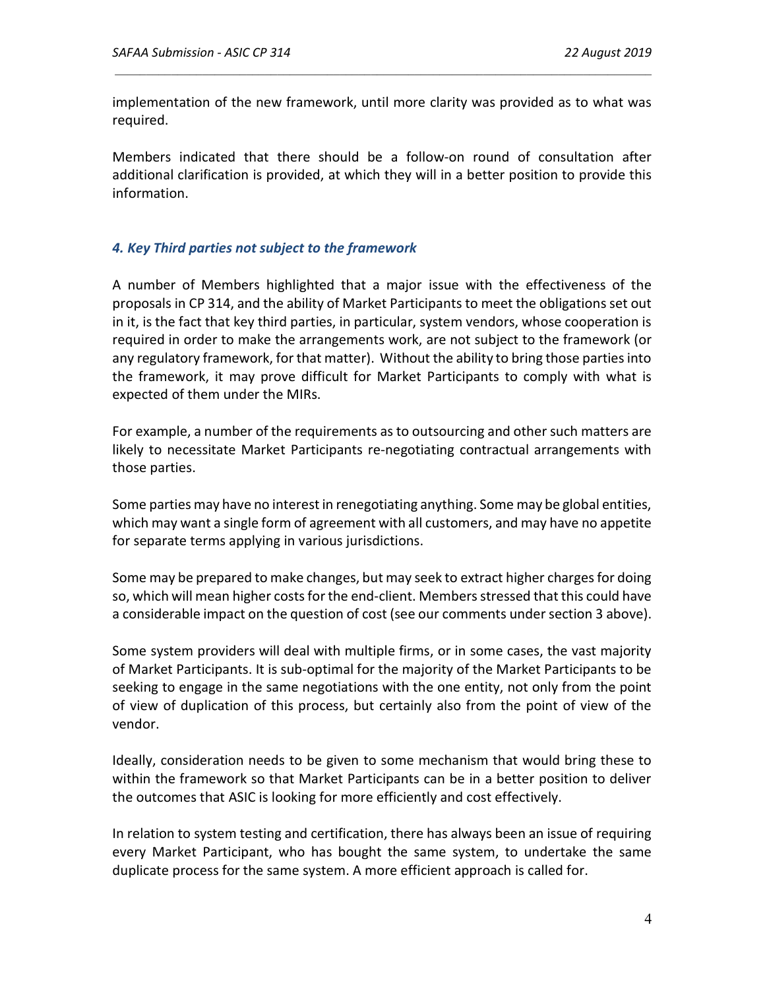implementation of the new framework, until more clarity was provided as to what was required.

Members indicated that there should be a follow-on round of consultation after additional clarification is provided, at which they will in a better position to provide this information.

## 4. Key Third parties not subject to the framework

A number of Members highlighted that a major issue with the effectiveness of the proposals in CP 314, and the ability of Market Participants to meet the obligations set out in it, is the fact that key third parties, in particular, system vendors, whose cooperation is required in order to make the arrangements work, are not subject to the framework (or any regulatory framework, for that matter). Without the ability to bring those parties into the framework, it may prove difficult for Market Participants to comply with what is expected of them under the MIRs.

For example, a number of the requirements as to outsourcing and other such matters are likely to necessitate Market Participants re-negotiating contractual arrangements with those parties.

Some parties may have no interest in renegotiating anything. Some may be global entities, which may want a single form of agreement with all customers, and may have no appetite for separate terms applying in various jurisdictions.

Some may be prepared to make changes, but may seek to extract higher charges for doing so, which will mean higher costs for the end-client. Members stressed that this could have a considerable impact on the question of cost (see our comments under section 3 above).

Some system providers will deal with multiple firms, or in some cases, the vast majority of Market Participants. It is sub-optimal for the majority of the Market Participants to be seeking to engage in the same negotiations with the one entity, not only from the point of view of duplication of this process, but certainly also from the point of view of the vendor.

Ideally, consideration needs to be given to some mechanism that would bring these to within the framework so that Market Participants can be in a better position to deliver the outcomes that ASIC is looking for more efficiently and cost effectively.

In relation to system testing and certification, there has always been an issue of requiring every Market Participant, who has bought the same system, to undertake the same duplicate process for the same system. A more efficient approach is called for.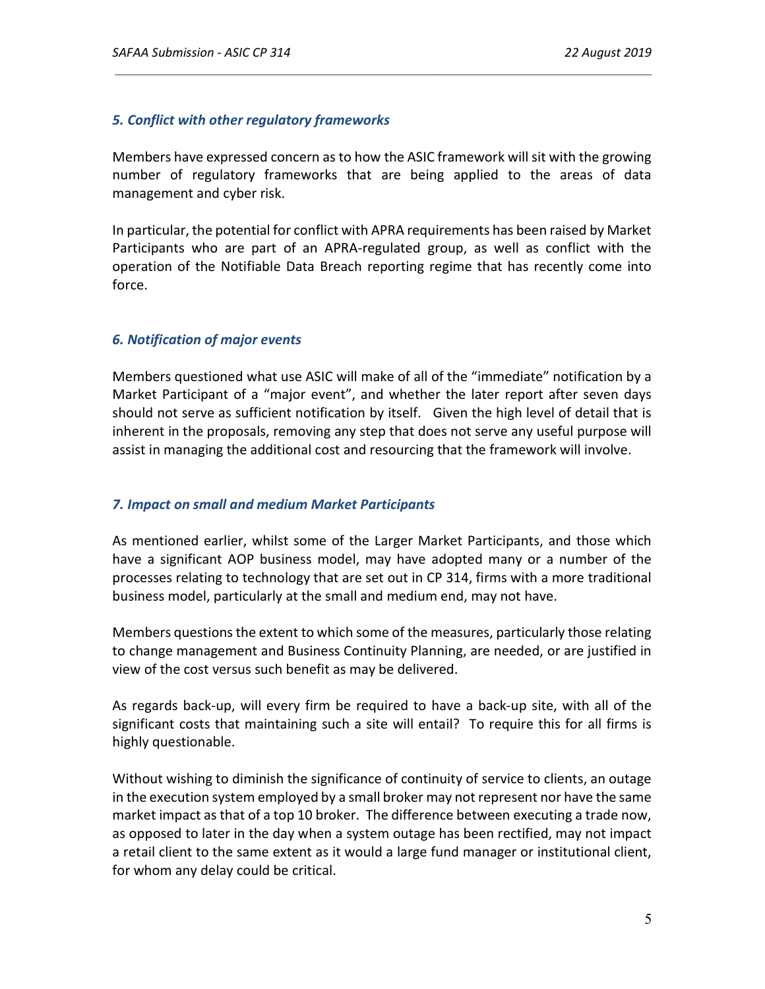## 5. Conflict with other regulatory frameworks

Members have expressed concern as to how the ASIC framework will sit with the growing number of regulatory frameworks that are being applied to the areas of data management and cyber risk.

In particular, the potential for conflict with APRA requirements has been raised by Market Participants who are part of an APRA-regulated group, as well as conflict with the operation of the Notifiable Data Breach reporting regime that has recently come into force.

## 6. Notification of major events

Members questioned what use ASIC will make of all of the "immediate" notification by a Market Participant of a "major event", and whether the later report after seven days should not serve as sufficient notification by itself. Given the high level of detail that is inherent in the proposals, removing any step that does not serve any useful purpose will assist in managing the additional cost and resourcing that the framework will involve.

## 7. Impact on small and medium Market Participants

As mentioned earlier, whilst some of the Larger Market Participants, and those which have a significant AOP business model, may have adopted many or a number of the processes relating to technology that are set out in CP 314, firms with a more traditional business model, particularly at the small and medium end, may not have.

Members questions the extent to which some of the measures, particularly those relating to change management and Business Continuity Planning, are needed, or are justified in view of the cost versus such benefit as may be delivered.

As regards back-up, will every firm be required to have a back-up site, with all of the significant costs that maintaining such a site will entail? To require this for all firms is highly questionable.

Without wishing to diminish the significance of continuity of service to clients, an outage in the execution system employed by a small broker may not represent nor have the same market impact as that of a top 10 broker. The difference between executing a trade now, as opposed to later in the day when a system outage has been rectified, may not impact a retail client to the same extent as it would a large fund manager or institutional client, for whom any delay could be critical.